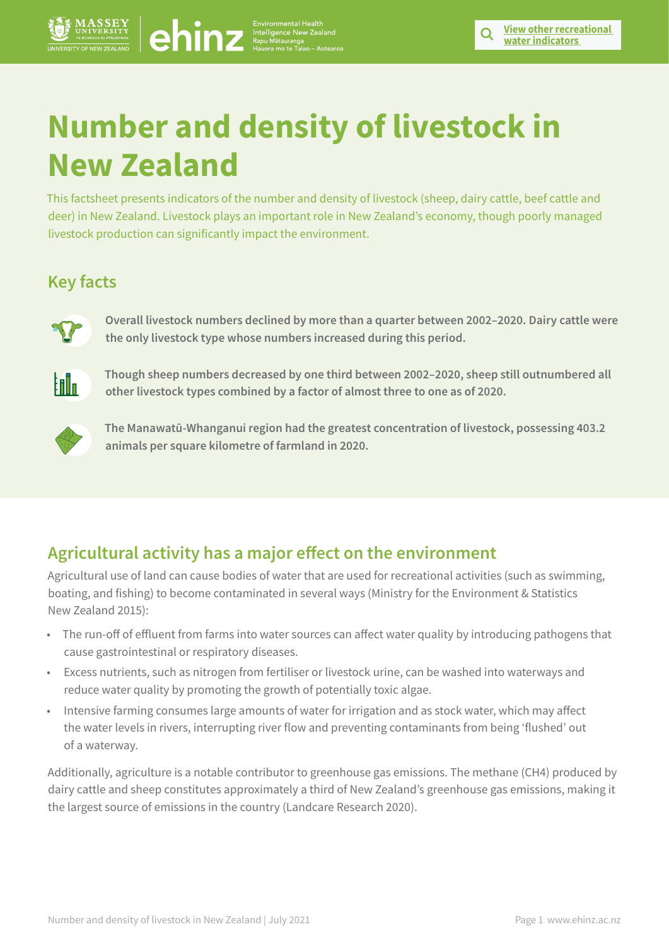# **Number and density of livestock in New Zealand Number and density of livestock in New York in New York is a media of the Control of the Control of the Control of the Control of the Control of the Control of the Control of the Control of the Control of the Control of t**

This factsheet presents indicators of the number and density of livestock (sheep, dairy cattle, beef cattle and deer) in New Zealand. Livestock plays an important role in New Zealand's economy, though poorly managed livestock production can significantly impact the environment.

# **Key facts**



**Overall livestock numbers declined by more than a quarter between 2002–2020. Dairy cattle were the only livestock type whose numbers increased during this period.**



**Though sheep numbers decreased by one third between 2002–2020, sheep still outnumbered all other livestock types combined by a factor of almost three to one as of 2020.**



**The Manawatū-Whanganui region had the greatest concentration of livestock, possessing 403.2 animals per square kilometre of farmland in 2020.**

# **Agricultural activity has a major effect on the environment**

Agricultural use of land can cause bodies of water that are used for recreational activities (such as swimming, boating, and fishing) to become contaminated in several ways (Ministry for the Environment & Statistics New Zealand 2015):

- The run-off of effluent from farms into water sources can affect water quality by introducing pathogens that cause gastrointestinal or respiratory diseases.
- Excess nutrients, such as nitrogen from fertiliser or livestock urine, can be washed into waterways and reduce water quality by promoting the growth of potentially toxic algae.
- Intensive farming consumes large amounts of water for irrigation and as stock water, which may affect the water levels in rivers, interrupting river flow and preventing contaminants from being 'flushed' out of a waterway.

Additionally, agriculture is a notable contributor to greenhouse gas emissions. The methane (CH4) produced by dairy cattle and sheep constitutes approximately a third of New Zealand's greenhouse gas emissions, making it the largest source of emissions in the country (Landcare Research 2020).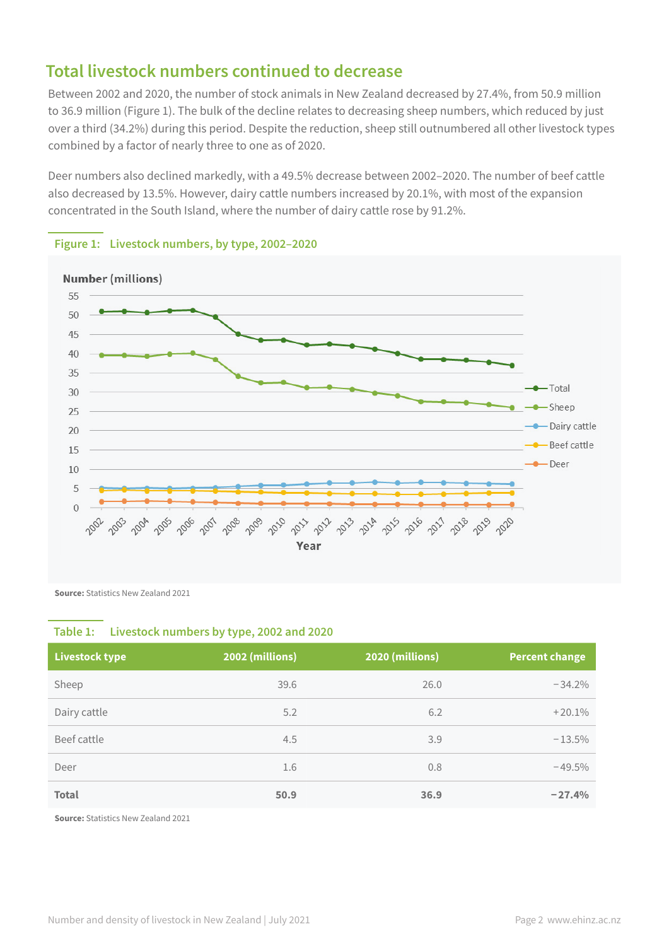# **Total livestock numbers continued to decrease**

Between 2002 and 2020, the number of stock animals in New Zealand decreased by 27.4%, from 50.9 million to 36.9 million (Figure 1). The bulk of the decline relates to decreasing sheep numbers, which reduced by just over a third (34.2%) during this period. Despite the reduction, sheep still outnumbered all other livestock types combined by a factor of nearly three to one as of 2020.

Deer numbers also declined markedly, with a 49.5% decrease between 2002–2020. The number of beef cattle also decreased by 13.5%. However, dairy cattle numbers increased by 20.1%, with most of the expansion concentrated in the South Island, where the number of dairy cattle rose by 91.2%.



### **Figure 1: Livestock numbers, by type, 2002–2020**

**Source: Statistics New Zealand 2021** 

### **Table 1: Livestock numbers by type, 2002 and 2020**

| <b>Livestock type</b> | 2002 (millions) | 2020 (millions) | <b>Percent change</b> |
|-----------------------|-----------------|-----------------|-----------------------|
| Sheep                 | 39.6            | 26.0            | $-34.2%$              |
| Dairy cattle          | 5.2             | 6.2             | $+20.1%$              |
| Beef cattle           | 4.5             | 3.9             | $-13.5%$              |
| Deer                  | 1.6             | 0.8             | $-49.5%$              |
| <b>Total</b>          | 50.9            | 36.9            | $-27.4%$              |

**Source:** Statistics New Zealand 2021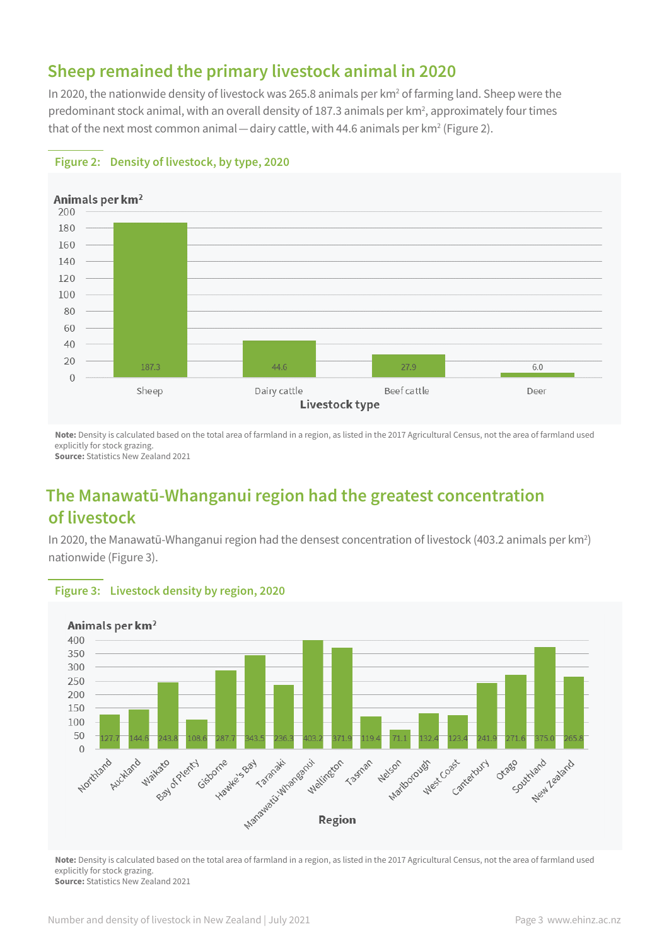# **Sheep remained the primary livestock animal in 2020**

In 2020, the nationwide density of livestock was 265.8 animals per km<sup>2</sup> of farming land. Sheep were the predominant stock animal, with an overall density of 187.3 animals per km<sup>2</sup>, approximately four times that of the next most common animal — dairy cattle, with 44.6 animals per km² (Figure 2).



# **Figure 2: Density of livestock, by type, 2020**

**Note:** Density is calculated based on the total area of farmland in a region, as listed in the 2017 Agricultural Census, not the area of farmland used explicitly for stock grazing.

**Source:** Statistics New Zealand 2021

# **The Manawatū-Whanganui region had the greatest concentration of livestock**

In 2020, the Manawatū-Whanganui region had the densest concentration of livestock (403.2 animals per km<sup>2</sup>) nationwide (Figure 3).



### **Figure 3: Livestock density by region, 2020**

**Note:** Density is calculated based on the total area of farmland in a region, as listed in the 2017 Agricultural Census, not the area of farmland used explicitly for stock grazing. **Source: Statistics New Zealand 2021**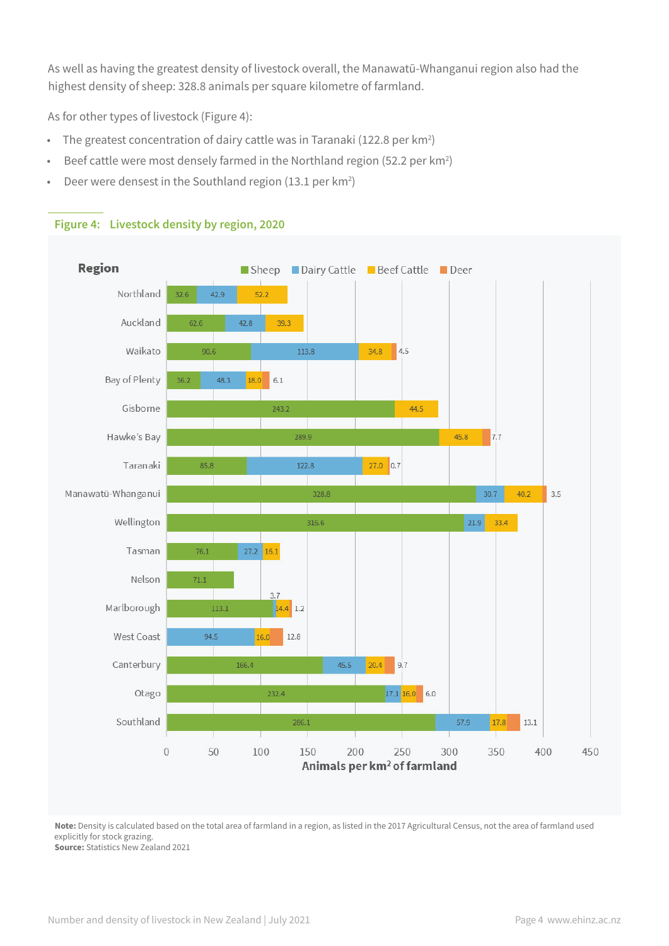As well as having the greatest density of livestock overall, the Manawatū-Whanganui region also had the highest density of sheep: 328.8 animals per square kilometre of farmland.

As for other types of livestock (Figure 4):

- The greatest concentration of dairy cattle was in Taranaki (122.8 per km<sup>2</sup>)
- Beef cattle were most densely farmed in the Northland region (52.2 per km<sup>2</sup>)
- Deer were densest in the Southland region (13.1 per  $km^2$ )



### **Figure 4: Livestock density by region, 2020**

**Note:** Density is calculated based on the total area of farmland in a region, as listed in the 2017 Agricultural Census, not the area of farmland used explicitly for stock grazing. **Source: Statistics New Zealand 2021**